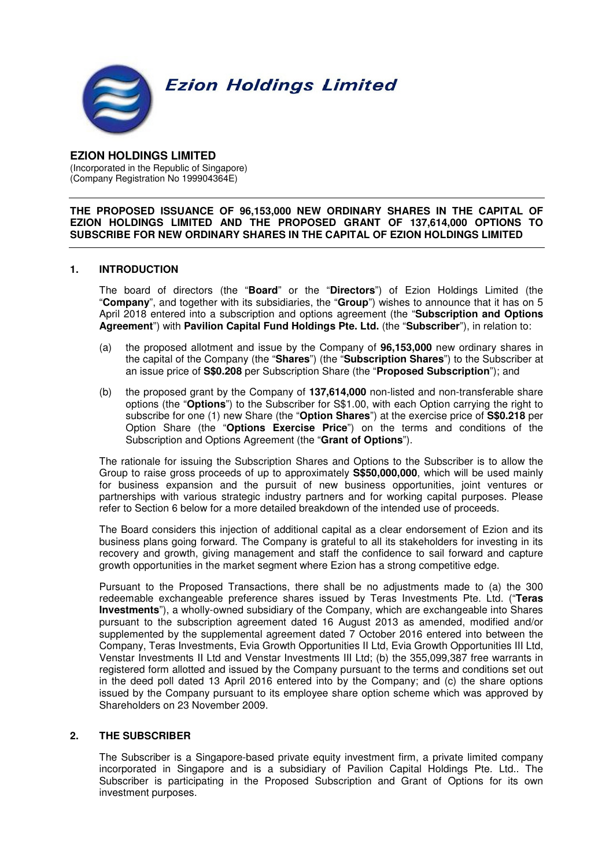**Ezion Holdings Limited** 



#### **EZION HOLDINGS LIMITED**  (Incorporated in the Republic of Singapore) (Company Registration No 199904364E) ľ

#### **THE PROPOSED ISSUANCE OF 96,153,000 NEW ORDINARY SHARES IN THE CAPITAL OF EZION HOLDINGS LIMITED AND THE PROPOSED GRANT OF 137,614,000 OPTIONS TO SUBSCRIBE FOR NEW ORDINARY SHARES IN THE CAPITAL OF EZION HOLDINGS LIMITED**

### **1. INTRODUCTION**

The board of directors (the "**Board**" or the "**Directors**") of Ezion Holdings Limited (the "**Company**", and together with its subsidiaries, the "**Group**") wishes to announce that it has on 5 April 2018 entered into a subscription and options agreement (the "**Subscription and Options Agreement**") with **Pavilion Capital Fund Holdings Pte. Ltd.** (the "**Subscriber**"), in relation to:

- (a) the proposed allotment and issue by the Company of **96,153,000** new ordinary shares in the capital of the Company (the "**Shares**") (the "**Subscription Shares**") to the Subscriber at an issue price of **S\$0.208** per Subscription Share (the "**Proposed Subscription**"); and
- (b) the proposed grant by the Company of **137,614,000** non-listed and non-transferable share options (the "**Options**") to the Subscriber for S\$1.00, with each Option carrying the right to subscribe for one (1) new Share (the "**Option Shares**") at the exercise price of **S\$0.218** per Option Share (the "**Options Exercise Price**") on the terms and conditions of the Subscription and Options Agreement (the "**Grant of Options**").

The rationale for issuing the Subscription Shares and Options to the Subscriber is to allow the Group to raise gross proceeds of up to approximately **S\$50,000,000**, which will be used mainly for business expansion and the pursuit of new business opportunities, joint ventures or partnerships with various strategic industry partners and for working capital purposes. Please refer to Section 6 below for a more detailed breakdown of the intended use of proceeds.

The Board considers this injection of additional capital as a clear endorsement of Ezion and its business plans going forward. The Company is grateful to all its stakeholders for investing in its recovery and growth, giving management and staff the confidence to sail forward and capture growth opportunities in the market segment where Ezion has a strong competitive edge.

Pursuant to the Proposed Transactions, there shall be no adjustments made to (a) the 300 redeemable exchangeable preference shares issued by Teras Investments Pte. Ltd. ("**Teras Investments**"), a wholly-owned subsidiary of the Company, which are exchangeable into Shares pursuant to the subscription agreement dated 16 August 2013 as amended, modified and/or supplemented by the supplemental agreement dated 7 October 2016 entered into between the Company, Teras Investments, Evia Growth Opportunities II Ltd, Evia Growth Opportunities III Ltd, Venstar Investments II Ltd and Venstar Investments III Ltd; (b) the 355,099,387 free warrants in registered form allotted and issued by the Company pursuant to the terms and conditions set out in the deed poll dated 13 April 2016 entered into by the Company; and (c) the share options issued by the Company pursuant to its employee share option scheme which was approved by Shareholders on 23 November 2009.

### **2. THE SUBSCRIBER**

The Subscriber is a Singapore-based private equity investment firm, a private limited company incorporated in Singapore and is a subsidiary of Pavilion Capital Holdings Pte. Ltd.. The Subscriber is participating in the Proposed Subscription and Grant of Options for its own investment purposes.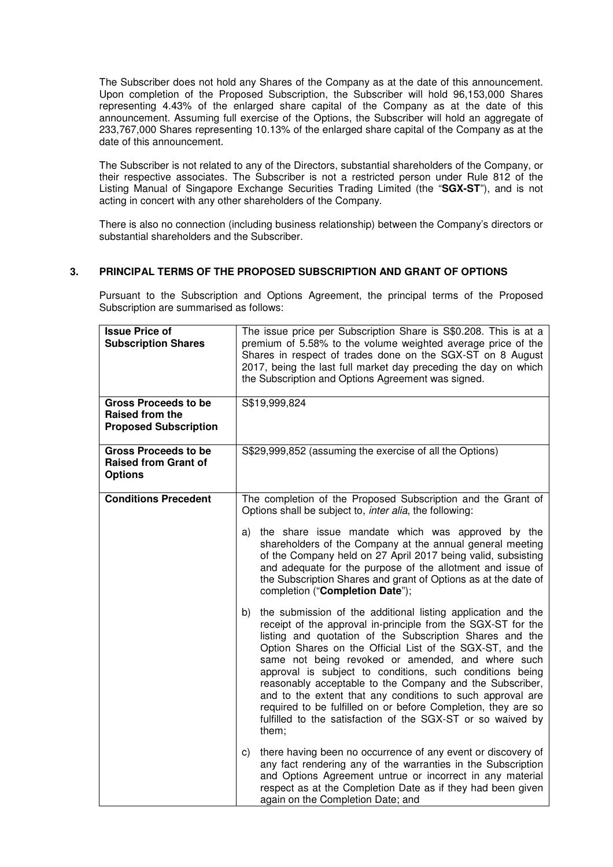The Subscriber does not hold any Shares of the Company as at the date of this announcement. Upon completion of the Proposed Subscription, the Subscriber will hold 96,153,000 Shares representing 4.43% of the enlarged share capital of the Company as at the date of this announcement. Assuming full exercise of the Options, the Subscriber will hold an aggregate of 233,767,000 Shares representing 10.13% of the enlarged share capital of the Company as at the date of this announcement.

The Subscriber is not related to any of the Directors, substantial shareholders of the Company, or their respective associates. The Subscriber is not a restricted person under Rule 812 of the Listing Manual of Singapore Exchange Securities Trading Limited (the "**SGX-ST**"), and is not acting in concert with any other shareholders of the Company.

There is also no connection (including business relationship) between the Company's directors or substantial shareholders and the Subscriber.

### **3. PRINCIPAL TERMS OF THE PROPOSED SUBSCRIPTION AND GRANT OF OPTIONS**

Pursuant to the Subscription and Options Agreement, the principal terms of the Proposed Subscription are summarised as follows:

| <b>Issue Price of</b><br><b>Subscription Shares</b>                            | The issue price per Subscription Share is S\$0.208. This is at a<br>premium of 5.58% to the volume weighted average price of the<br>Shares in respect of trades done on the SGX-ST on 8 August<br>2017, being the last full market day preceding the day on which<br>the Subscription and Options Agreement was signed.                                                                                                                                                                                                                                                                                                                         |  |
|--------------------------------------------------------------------------------|-------------------------------------------------------------------------------------------------------------------------------------------------------------------------------------------------------------------------------------------------------------------------------------------------------------------------------------------------------------------------------------------------------------------------------------------------------------------------------------------------------------------------------------------------------------------------------------------------------------------------------------------------|--|
| <b>Gross Proceeds to be</b><br>Raised from the<br><b>Proposed Subscription</b> | S\$19,999,824                                                                                                                                                                                                                                                                                                                                                                                                                                                                                                                                                                                                                                   |  |
| <b>Gross Proceeds to be</b><br><b>Raised from Grant of</b><br><b>Options</b>   | S\$29,999,852 (assuming the exercise of all the Options)                                                                                                                                                                                                                                                                                                                                                                                                                                                                                                                                                                                        |  |
| <b>Conditions Precedent</b>                                                    | The completion of the Proposed Subscription and the Grant of<br>Options shall be subject to, inter alia, the following:                                                                                                                                                                                                                                                                                                                                                                                                                                                                                                                         |  |
|                                                                                | the share issue mandate which was approved by the<br>a)<br>shareholders of the Company at the annual general meeting<br>of the Company held on 27 April 2017 being valid, subsisting<br>and adequate for the purpose of the allotment and issue of<br>the Subscription Shares and grant of Options as at the date of<br>completion ("Completion Date");                                                                                                                                                                                                                                                                                         |  |
|                                                                                | the submission of the additional listing application and the<br>b)<br>receipt of the approval in-principle from the SGX-ST for the<br>listing and quotation of the Subscription Shares and the<br>Option Shares on the Official List of the SGX-ST, and the<br>same not being revoked or amended, and where such<br>approval is subject to conditions, such conditions being<br>reasonably acceptable to the Company and the Subscriber,<br>and to the extent that any conditions to such approval are<br>required to be fulfilled on or before Completion, they are so<br>fulfilled to the satisfaction of the SGX-ST or so waived by<br>them; |  |
|                                                                                | there having been no occurrence of any event or discovery of<br>C)<br>any fact rendering any of the warranties in the Subscription<br>and Options Agreement untrue or incorrect in any material<br>respect as at the Completion Date as if they had been given<br>again on the Completion Date; and                                                                                                                                                                                                                                                                                                                                             |  |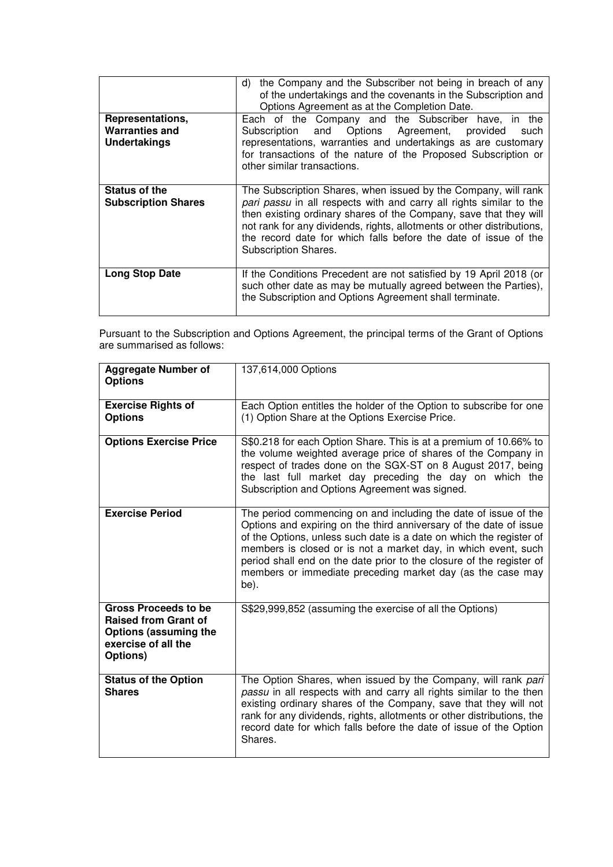| Representations,<br><b>Warranties and</b><br>Undertakings | the Company and the Subscriber not being in breach of any<br>d)<br>of the undertakings and the covenants in the Subscription and<br>Options Agreement as at the Completion Date.<br>Each of the Company and the Subscriber<br>have, in the<br>and Options Agreement, provided<br>Subscription<br>such<br>representations, warranties and undertakings as are customary<br>for transactions of the nature of the Proposed Subscription or<br>other similar transactions. |
|-----------------------------------------------------------|-------------------------------------------------------------------------------------------------------------------------------------------------------------------------------------------------------------------------------------------------------------------------------------------------------------------------------------------------------------------------------------------------------------------------------------------------------------------------|
| Status of the<br><b>Subscription Shares</b>               | The Subscription Shares, when issued by the Company, will rank<br>pari passu in all respects with and carry all rights similar to the<br>then existing ordinary shares of the Company, save that they will<br>not rank for any dividends, rights, allotments or other distributions,<br>the record date for which falls before the date of issue of the<br>Subscription Shares.                                                                                         |
| <b>Long Stop Date</b>                                     | If the Conditions Precedent are not satisfied by 19 April 2018 (or<br>such other date as may be mutually agreed between the Parties),<br>the Subscription and Options Agreement shall terminate.                                                                                                                                                                                                                                                                        |

Pursuant to the Subscription and Options Agreement, the principal terms of the Grant of Options are summarised as follows:

| <b>Aggregate Number of</b><br><b>Options</b>                                                                                  | 137,614,000 Options                                                                                                                                                                                                                                                                                                                                                                                                          |
|-------------------------------------------------------------------------------------------------------------------------------|------------------------------------------------------------------------------------------------------------------------------------------------------------------------------------------------------------------------------------------------------------------------------------------------------------------------------------------------------------------------------------------------------------------------------|
| <b>Exercise Rights of</b><br><b>Options</b>                                                                                   | Each Option entitles the holder of the Option to subscribe for one<br>(1) Option Share at the Options Exercise Price.                                                                                                                                                                                                                                                                                                        |
| <b>Options Exercise Price</b>                                                                                                 | S\$0.218 for each Option Share. This is at a premium of 10.66% to<br>the volume weighted average price of shares of the Company in<br>respect of trades done on the SGX-ST on 8 August 2017, being<br>the last full market day preceding the day on which the<br>Subscription and Options Agreement was signed.                                                                                                              |
| <b>Exercise Period</b>                                                                                                        | The period commencing on and including the date of issue of the<br>Options and expiring on the third anniversary of the date of issue<br>of the Options, unless such date is a date on which the register of<br>members is closed or is not a market day, in which event, such<br>period shall end on the date prior to the closure of the register of<br>members or immediate preceding market day (as the case may<br>be). |
| <b>Gross Proceeds to be</b><br><b>Raised from Grant of</b><br><b>Options (assuming the</b><br>exercise of all the<br>Options) | S\$29,999,852 (assuming the exercise of all the Options)                                                                                                                                                                                                                                                                                                                                                                     |
| <b>Status of the Option</b><br><b>Shares</b>                                                                                  | The Option Shares, when issued by the Company, will rank pari<br>passu in all respects with and carry all rights similar to the then<br>existing ordinary shares of the Company, save that they will not<br>rank for any dividends, rights, allotments or other distributions, the<br>record date for which falls before the date of issue of the Option<br>Shares.                                                          |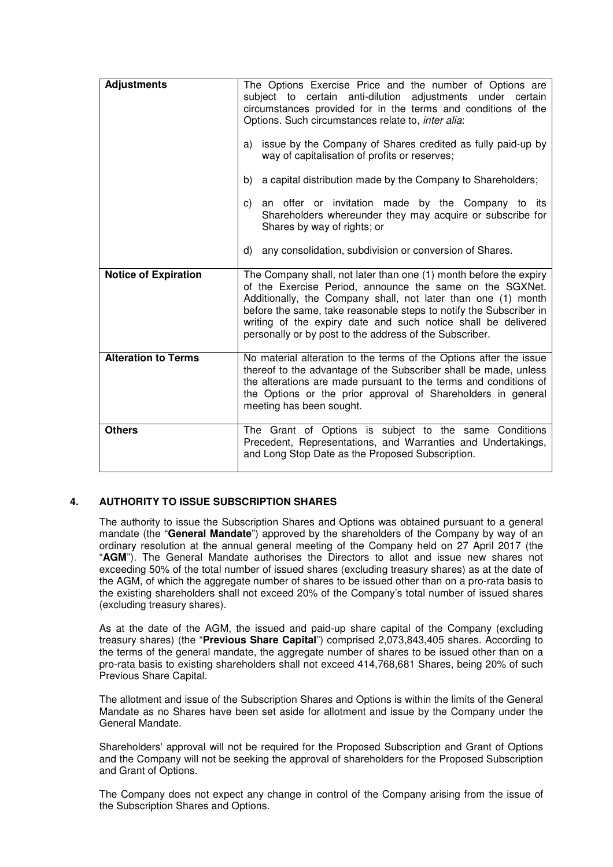| <b>Adjustments</b>          | The Options Exercise Price and the number of Options are<br>subject to certain anti-dilution adjustments under certain<br>circumstances provided for in the terms and conditions of the<br>Options. Such circumstances relate to, inter alia:<br>issue by the Company of Shares credited as fully paid-up by<br>a)<br>way of capitalisation of profits or reserves;<br>a capital distribution made by the Company to Shareholders;<br>b)<br>an offer or invitation made by the Company to its<br>C)<br>Shareholders whereunder they may acquire or subscribe for<br>Shares by way of rights; or<br>d)<br>any consolidation, subdivision or conversion of Shares. |  |
|-----------------------------|------------------------------------------------------------------------------------------------------------------------------------------------------------------------------------------------------------------------------------------------------------------------------------------------------------------------------------------------------------------------------------------------------------------------------------------------------------------------------------------------------------------------------------------------------------------------------------------------------------------------------------------------------------------|--|
| <b>Notice of Expiration</b> | The Company shall, not later than one (1) month before the expiry<br>of the Exercise Period, announce the same on the SGXNet.<br>Additionally, the Company shall, not later than one (1) month<br>before the same, take reasonable steps to notify the Subscriber in<br>writing of the expiry date and such notice shall be delivered<br>personally or by post to the address of the Subscriber.                                                                                                                                                                                                                                                                 |  |
| <b>Alteration to Terms</b>  | No material alteration to the terms of the Options after the issue<br>thereof to the advantage of the Subscriber shall be made, unless<br>the alterations are made pursuant to the terms and conditions of<br>the Options or the prior approval of Shareholders in general<br>meeting has been sought.                                                                                                                                                                                                                                                                                                                                                           |  |
| <b>Others</b>               | The Grant of Options is subject to the same Conditions<br>Precedent, Representations, and Warranties and Undertakings,<br>and Long Stop Date as the Proposed Subscription.                                                                                                                                                                                                                                                                                                                                                                                                                                                                                       |  |

# **4. AUTHORITY TO ISSUE SUBSCRIPTION SHARES**

The authority to issue the Subscription Shares and Options was obtained pursuant to a general mandate (the "**General Mandate**") approved by the shareholders of the Company by way of an ordinary resolution at the annual general meeting of the Company held on 27 April 2017 (the "**AGM**"). The General Mandate authorises the Directors to allot and issue new shares not exceeding 50% of the total number of issued shares (excluding treasury shares) as at the date of the AGM, of which the aggregate number of shares to be issued other than on a pro-rata basis to the existing shareholders shall not exceed 20% of the Company's total number of issued shares (excluding treasury shares).

As at the date of the AGM, the issued and paid-up share capital of the Company (excluding treasury shares) (the "**Previous Share Capital**") comprised 2,073,843,405 shares. According to the terms of the general mandate, the aggregate number of shares to be issued other than on a pro-rata basis to existing shareholders shall not exceed 414,768,681 Shares, being 20% of such Previous Share Capital.

The allotment and issue of the Subscription Shares and Options is within the limits of the General Mandate as no Shares have been set aside for allotment and issue by the Company under the General Mandate.

Shareholders' approval will not be required for the Proposed Subscription and Grant of Options and the Company will not be seeking the approval of shareholders for the Proposed Subscription and Grant of Options.

The Company does not expect any change in control of the Company arising from the issue of the Subscription Shares and Options.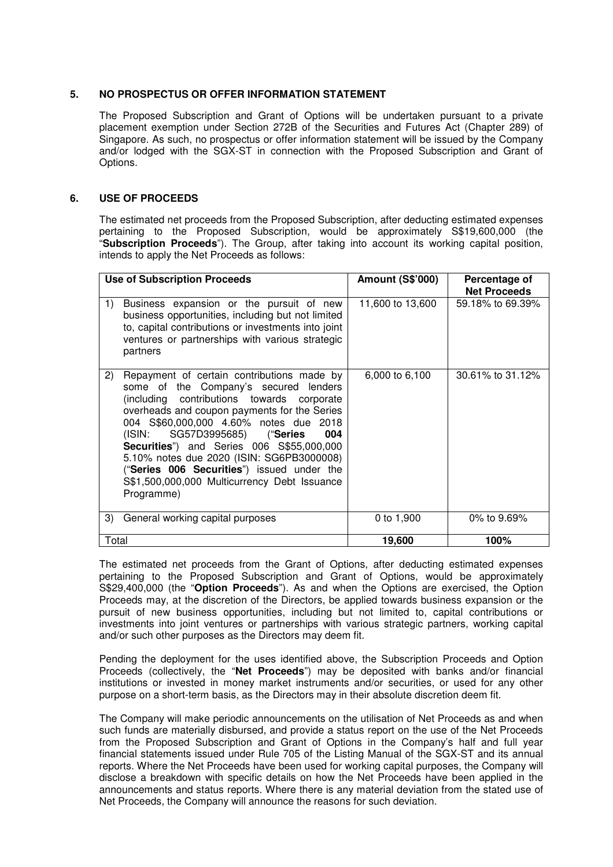### **5. NO PROSPECTUS OR OFFER INFORMATION STATEMENT**

The Proposed Subscription and Grant of Options will be undertaken pursuant to a private placement exemption under Section 272B of the Securities and Futures Act (Chapter 289) of Singapore. As such, no prospectus or offer information statement will be issued by the Company and/or lodged with the SGX-ST in connection with the Proposed Subscription and Grant of Options.

#### **6. USE OF PROCEEDS**

The estimated net proceeds from the Proposed Subscription, after deducting estimated expenses pertaining to the Proposed Subscription, would be approximately S\$19,600,000 (the "**Subscription Proceeds**"). The Group, after taking into account its working capital position, intends to apply the Net Proceeds as follows:

| <b>Use of Subscription Proceeds</b>                                                                                                                                                                                                                                                                                                                                                                                                                                                        | <b>Amount (S\$'000)</b> | Percentage of<br><b>Net Proceeds</b> |
|--------------------------------------------------------------------------------------------------------------------------------------------------------------------------------------------------------------------------------------------------------------------------------------------------------------------------------------------------------------------------------------------------------------------------------------------------------------------------------------------|-------------------------|--------------------------------------|
| Business expansion or the pursuit of new<br>1)<br>business opportunities, including but not limited<br>to, capital contributions or investments into joint<br>ventures or partnerships with various strategic<br>partners                                                                                                                                                                                                                                                                  | 11,600 to 13,600        | 59.18% to 69.39%                     |
| Repayment of certain contributions made by<br>2)<br>some of the Company's secured lenders<br>(including contributions towards corporate<br>overheads and coupon payments for the Series<br>004 S\$60,000,000 4.60% notes due 2018<br>SG57D3995685) ("Series<br>(ISIN:<br>004<br><b>Securities</b> ") and Series 006 S\$55,000,000<br>5.10% notes due 2020 (ISIN: SG6PB3000008)<br>("Series 006 Securities") issued under the<br>S\$1,500,000,000 Multicurrency Debt Issuance<br>Programme) | 6,000 to 6,100          | 30.61% to 31.12%                     |
| 3)<br>General working capital purposes                                                                                                                                                                                                                                                                                                                                                                                                                                                     | 0 to 1,900              | 0% to $9.69%$                        |
| Total                                                                                                                                                                                                                                                                                                                                                                                                                                                                                      | 19,600                  | 100%                                 |

The estimated net proceeds from the Grant of Options, after deducting estimated expenses pertaining to the Proposed Subscription and Grant of Options, would be approximately S\$29,400,000 (the "**Option Proceeds**"). As and when the Options are exercised, the Option Proceeds may, at the discretion of the Directors, be applied towards business expansion or the pursuit of new business opportunities, including but not limited to, capital contributions or investments into joint ventures or partnerships with various strategic partners, working capital and/or such other purposes as the Directors may deem fit.

Pending the deployment for the uses identified above, the Subscription Proceeds and Option Proceeds (collectively, the "**Net Proceeds**") may be deposited with banks and/or financial institutions or invested in money market instruments and/or securities, or used for any other purpose on a short-term basis, as the Directors may in their absolute discretion deem fit.

The Company will make periodic announcements on the utilisation of Net Proceeds as and when such funds are materially disbursed, and provide a status report on the use of the Net Proceeds from the Proposed Subscription and Grant of Options in the Company's half and full year financial statements issued under Rule 705 of the Listing Manual of the SGX-ST and its annual reports. Where the Net Proceeds have been used for working capital purposes, the Company will disclose a breakdown with specific details on how the Net Proceeds have been applied in the announcements and status reports. Where there is any material deviation from the stated use of Net Proceeds, the Company will announce the reasons for such deviation.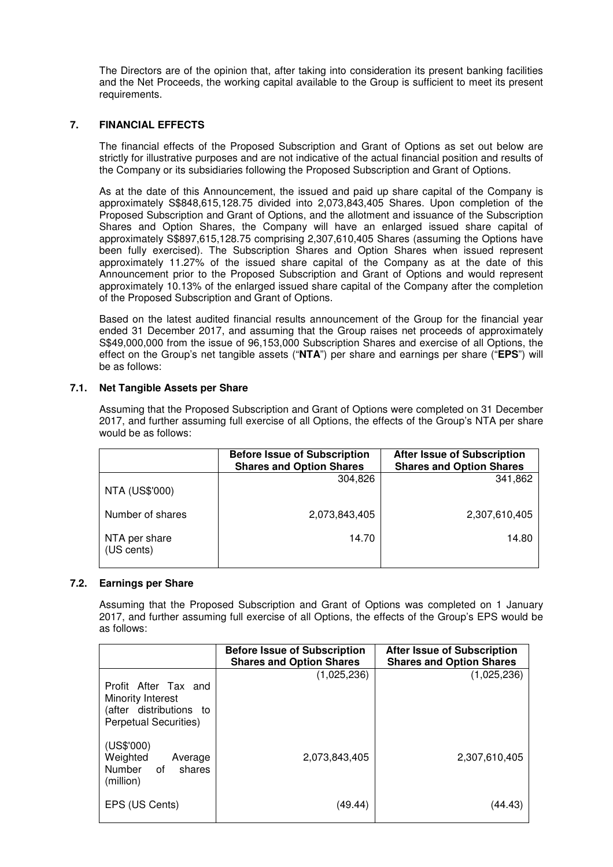The Directors are of the opinion that, after taking into consideration its present banking facilities and the Net Proceeds, the working capital available to the Group is sufficient to meet its present requirements.

## **7. FINANCIAL EFFECTS**

The financial effects of the Proposed Subscription and Grant of Options as set out below are strictly for illustrative purposes and are not indicative of the actual financial position and results of the Company or its subsidiaries following the Proposed Subscription and Grant of Options.

As at the date of this Announcement, the issued and paid up share capital of the Company is approximately S\$848,615,128.75 divided into 2,073,843,405 Shares. Upon completion of the Proposed Subscription and Grant of Options, and the allotment and issuance of the Subscription Shares and Option Shares, the Company will have an enlarged issued share capital of approximately S\$897,615,128.75 comprising 2,307,610,405 Shares (assuming the Options have been fully exercised). The Subscription Shares and Option Shares when issued represent approximately 11.27% of the issued share capital of the Company as at the date of this Announcement prior to the Proposed Subscription and Grant of Options and would represent approximately 10.13% of the enlarged issued share capital of the Company after the completion of the Proposed Subscription and Grant of Options.

Based on the latest audited financial results announcement of the Group for the financial year ended 31 December 2017, and assuming that the Group raises net proceeds of approximately S\$49,000,000 from the issue of 96,153,000 Subscription Shares and exercise of all Options, the effect on the Group's net tangible assets ("**NTA**") per share and earnings per share ("**EPS**") will be as follows:

### **7.1. Net Tangible Assets per Share**

Assuming that the Proposed Subscription and Grant of Options were completed on 31 December 2017, and further assuming full exercise of all Options, the effects of the Group's NTA per share would be as follows:

|                             | <b>Before Issue of Subscription</b><br><b>Shares and Option Shares</b> | <b>After Issue of Subscription</b><br><b>Shares and Option Shares</b> |
|-----------------------------|------------------------------------------------------------------------|-----------------------------------------------------------------------|
| <b>NTA (US\$'000)</b>       | 304,826                                                                | 341,862                                                               |
| Number of shares            | 2,073,843,405                                                          | 2,307,610,405                                                         |
| NTA per share<br>(US cents) | 14.70                                                                  | 14.80                                                                 |

### **7.2. Earnings per Share**

Assuming that the Proposed Subscription and Grant of Options was completed on 1 January 2017, and further assuming full exercise of all Options, the effects of the Group's EPS would be as follows:

|                                                                                               | <b>Before Issue of Subscription</b><br><b>Shares and Option Shares</b> | <b>After Issue of Subscription</b><br><b>Shares and Option Shares</b> |
|-----------------------------------------------------------------------------------------------|------------------------------------------------------------------------|-----------------------------------------------------------------------|
| Profit After Tax and<br>Minority Interest<br>(after distributions to<br>Perpetual Securities) | (1,025,236)                                                            | (1,025,236)                                                           |
| (US\$'000)<br>Weighted<br>Average<br>Number of<br>shares<br>(million)                         | 2.073.843.405                                                          | 2,307,610,405                                                         |
| EPS (US Cents)                                                                                | (49.44)                                                                | (44.43)                                                               |